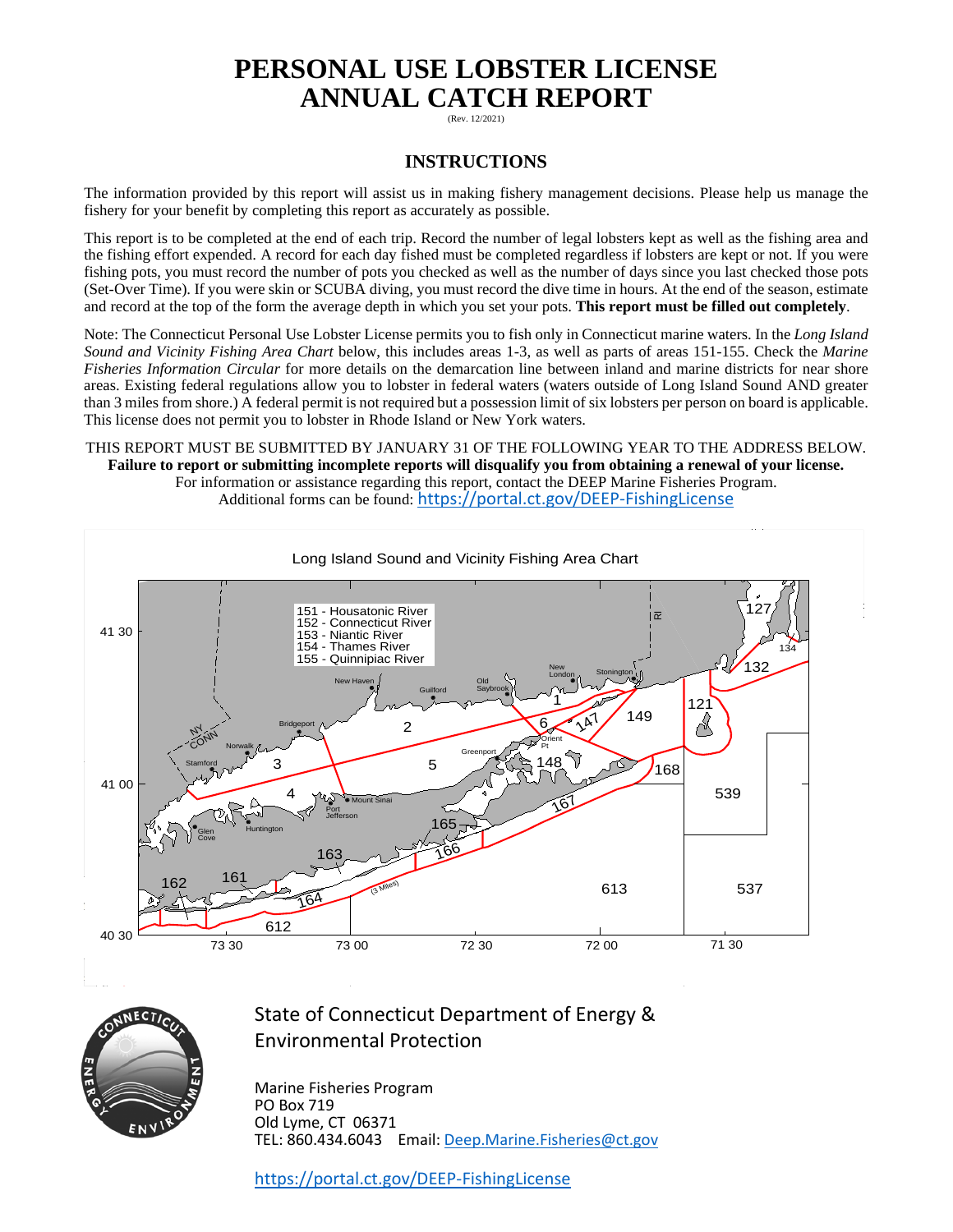# **PERSONAL USE LOBSTER LICENSE ANNUAL CATCH REPORT**

(Rev. 12/2021)

### **INSTRUCTIONS**

The information provided by this report will assist us in making fishery management decisions. Please help us manage the fishery for your benefit by completing this report as accurately as possible.

This report is to be completed at the end of each trip. Record the number of legal lobsters kept as well as the fishing area and the fishing effort expended. A record for each day fished must be completed regardless if lobsters are kept or not. If you were fishing pots, you must record the number of pots you checked as well as the number of days since you last checked those pots (Set-Over Time). If you were skin or SCUBA diving, you must record the dive time in hours. At the end of the season, estimate and record at the top of the form the average depth in which you set your pots. **This report must be filled out completely**.

Note: The Connecticut Personal Use Lobster License permits you to fish only in Connecticut marine waters. In the *Long Island Sound and Vicinity Fishing Area Chart* below, this includes areas 1-3, as well as parts of areas 151-155. Check the *Marine Fisheries Information Circular* for more details on the demarcation line between inland and marine districts for near shore areas. Existing federal regulations allow you to lobster in federal waters (waters outside of Long Island Sound AND greater than 3 miles from shore.) A federal permit is not required but a possession limit of six lobsters per person on board is applicable. This license does not permit you to lobster in Rhode Island or New York waters.

#### THIS REPORT MUST BE SUBMITTED BY JANUARY 31 OF THE FOLLOWING YEAR TO THE ADDRESS BELOW. **Failure to report or submitting incomplete reports will disqualify you from obtaining a renewal of your license.** For information or assistance regarding this report, contact the DEEP Marine Fisheries Program.

Additional forms can be found: <https://portal.ct.gov/DEEP-FishingLicense>





## State of Connecticut Department of Energy & Environmental Protection

Marine Fisheries Program PO Box 719 Old Lyme, CT 06371 TEL: 860.434.6043 Email: [Deep.Marine.Fisheries@ct.gov](mailto:Deep.Marine.Fisheries@ct.gov)

<https://portal.ct.gov/DEEP-FishingLicense>